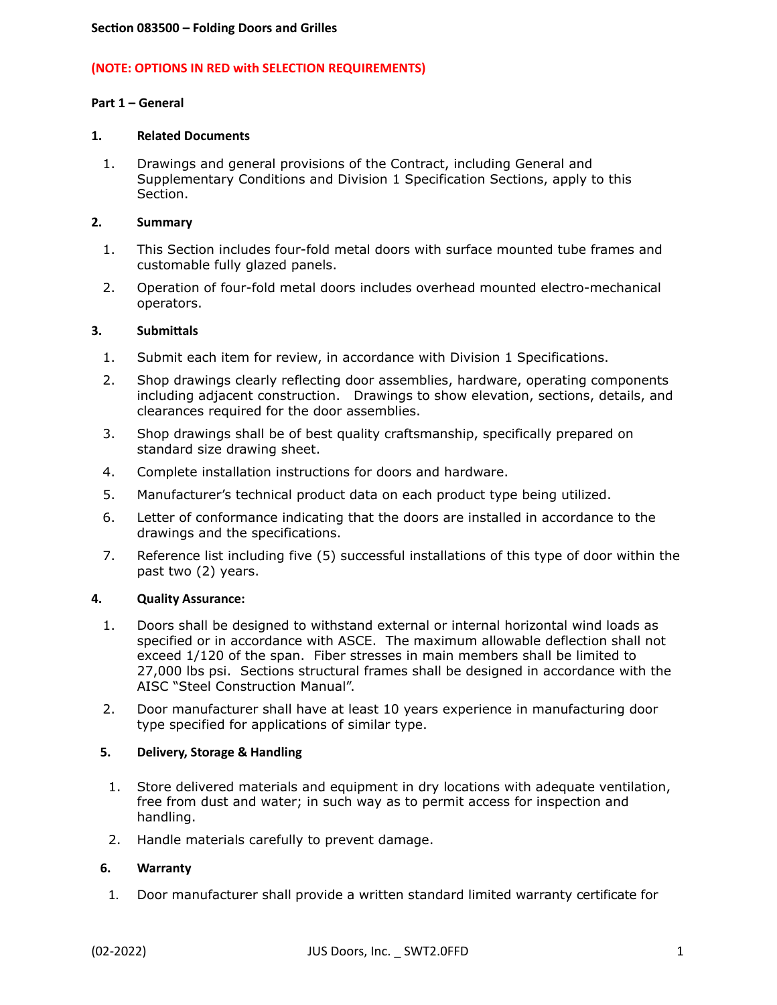## **(NOTE: OPTIONS IN RED with SELECTION REQUIREMENTS)**

### **Part 1 – General**

### **1. Related Documents**

1. Drawings and general provisions of the Contract, including General and Supplementary Conditions and Division 1 Specification Sections, apply to this Section.

### **2. Summary**

- 1. This Section includes four-fold metal doors with surface mounted tube frames and customable fully glazed panels.
- 2. Operation of four-fold metal doors includes overhead mounted electro-mechanical operators.

### **3. Submittals**

- 1. Submit each item for review, in accordance with Division 1 Specifications.
- 2. Shop drawings clearly reflecting door assemblies, hardware, operating components including adjacent construction. Drawings to show elevation, sections, details, and clearances required for the door assemblies.
- 3. Shop drawings shall be of best quality craftsmanship, specifically prepared on standard size drawing sheet.
- 4. Complete installation instructions for doors and hardware.
- 5. Manufacturer's technical product data on each product type being utilized.
- 6. Letter of conformance indicating that the doors are installed in accordance to the drawings and the specifications.
- 7. Reference list including five (5) successful installations of this type of door within the past two (2) years.

### **4. Quality Assurance:**

- 1. Doors shall be designed to withstand external or internal horizontal wind loads as specified or in accordance with ASCE. The maximum allowable deflection shall not exceed 1/120 of the span. Fiber stresses in main members shall be limited to 27,000 lbs psi. Sections structural frames shall be designed in accordance with the AISC "Steel Construction Manual".
- 2. Door manufacturer shall have at least 10 years experience in manufacturing door type specified for applications of similar type.

### **5. Delivery, Storage & Handling**

- 1. Store delivered materials and equipment in dry locations with adequate ventilation, free from dust and water; in such way as to permit access for inspection and handling.
- 2. Handle materials carefully to prevent damage.

### **6. Warranty**

1. Door manufacturer shall provide a written standard limited warranty certificate for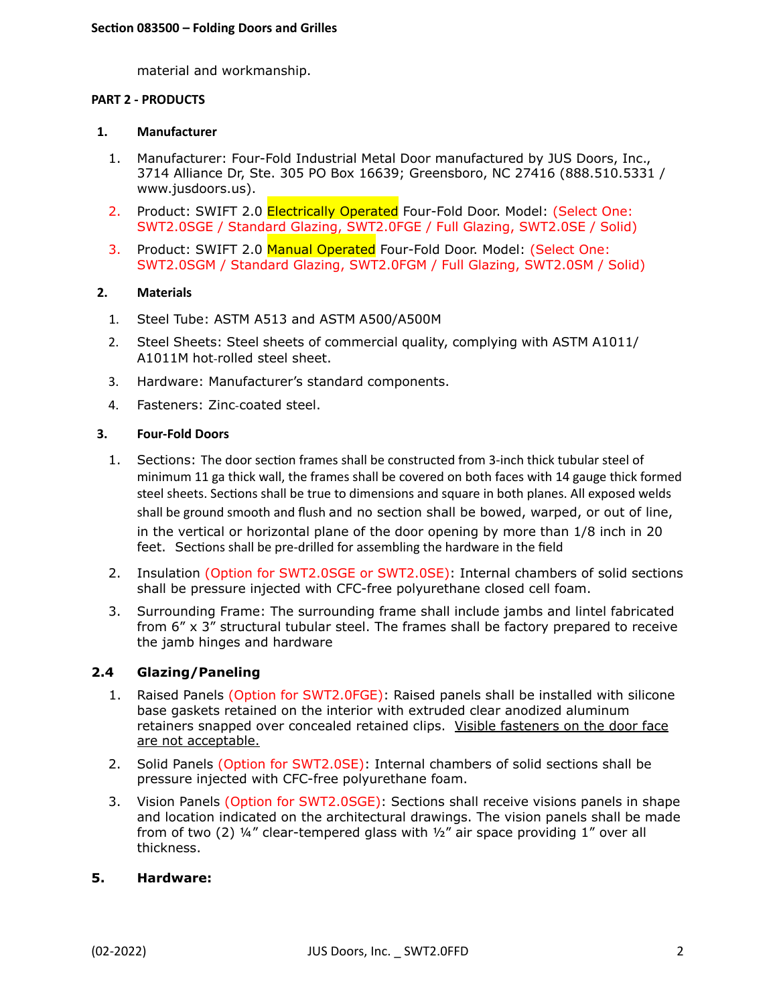material and workmanship.

## **PART 2 - PRODUCTS**

### **1. Manufacturer**

- 1. Manufacturer: Four-Fold Industrial Metal Door manufactured by JUS Doors, Inc., 3714 Alliance Dr, Ste. 305 PO Box 16639; Greensboro, NC 27416 (888.510.5331 / www.jusdoors.us).
- 2. Product: SWIFT 2.0 Electrically Operated Four-Fold Door. Model: (Select One: SWT2.0SGE / Standard Glazing, SWT2.0FGE / Full Glazing, SWT2.0SE / Solid)
- 3. Product: SWIFT 2.0 Manual Operated Four-Fold Door. Model: (Select One: SWT2.0SGM / Standard Glazing, SWT2.0FGM / Full Glazing, SWT2.0SM / Solid)

## **2. Materials**

- 1. Steel Tube: ASTM A513 and ASTM A500/A500M
- 2. Steel Sheets: Steel sheets of commercial quality, complying with ASTM A1011/ A1011M hot-rolled steel sheet.
- 3. Hardware: Manufacturer's standard components.
- 4. Fasteners: Zinc-coated steel.

## **3. Four-Fold Doors**

- 1. Sections: The door section frames shall be constructed from 3-inch thick tubular steel of minimum 11 ga thick wall, the frames shall be covered on both faces with 14 gauge thick formed steel sheets. Sections shall be true to dimensions and square in both planes. All exposed welds shall be ground smooth and flush and no section shall be bowed, warped, or out of line, in the vertical or horizontal plane of the door opening by more than 1/8 inch in 20 feet. Sections shall be pre-drilled for assembling the hardware in the field
- 2. Insulation (Option for SWT2.0SGE or SWT2.0SE): Internal chambers of solid sections shall be pressure injected with CFC-free polyurethane closed cell foam.
- 3. Surrounding Frame: The surrounding frame shall include jambs and lintel fabricated from 6" x 3" structural tubular steel. The frames shall be factory prepared to receive the jamb hinges and hardware

## **2.4 Glazing/Paneling**

- 1. Raised Panels (Option for SWT2.0FGE): Raised panels shall be installed with silicone base gaskets retained on the interior with extruded clear anodized aluminum retainers snapped over concealed retained clips. Visible fasteners on the door face are not acceptable.
- 2. Solid Panels (Option for SWT2.0SE): Internal chambers of solid sections shall be pressure injected with CFC-free polyurethane foam.
- 3. Vision Panels (Option for SWT2.0SGE): Sections shall receive visions panels in shape and location indicated on the architectural drawings. The vision panels shall be made from of two (2)  $\frac{1}{4}$ " clear-tempered glass with  $\frac{1}{2}$ " air space providing 1" over all thickness.

## **5. Hardware:**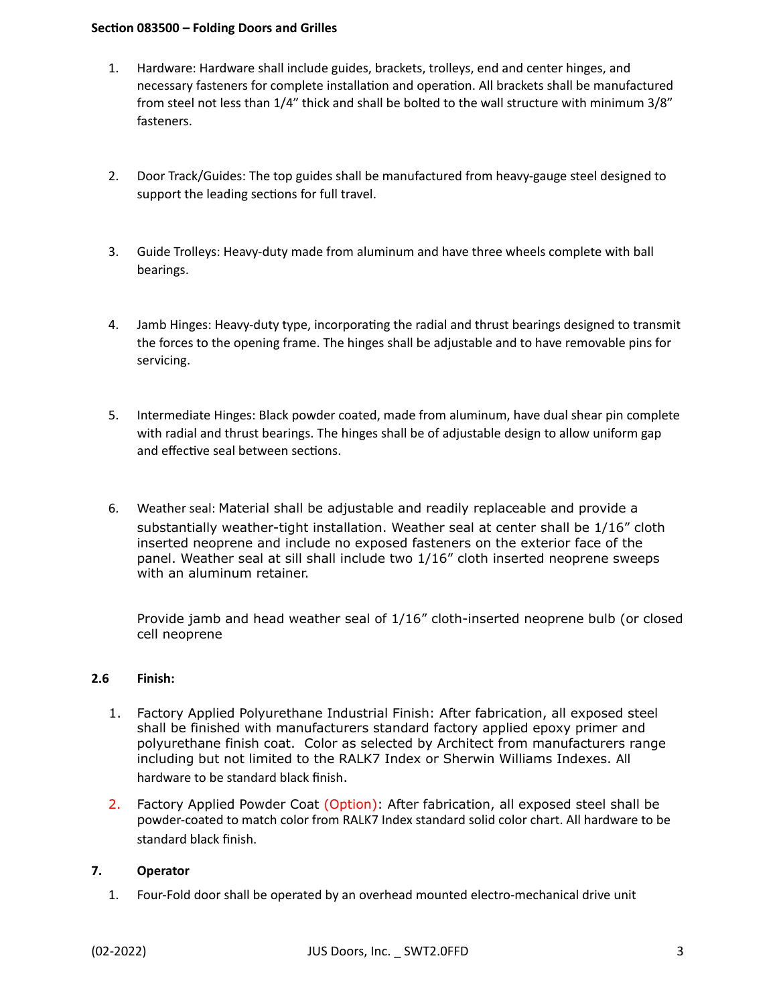## **Section 083500 – Folding Doors and Grilles**

- 1. Hardware: Hardware shall include guides, brackets, trolleys, end and center hinges, and necessary fasteners for complete installation and operation. All brackets shall be manufactured from steel not less than 1/4" thick and shall be bolted to the wall structure with minimum 3/8" fasteners.
- 2. Door Track/Guides: The top guides shall be manufactured from heavy-gauge steel designed to support the leading sections for full travel.
- 3. Guide Trolleys: Heavy-duty made from aluminum and have three wheels complete with ball bearings.
- 4. Jamb Hinges: Heavy-duty type, incorporating the radial and thrust bearings designed to transmit the forces to the opening frame. The hinges shall be adjustable and to have removable pins for servicing.
- 5. Intermediate Hinges: Black powder coated, made from aluminum, have dual shear pin complete with radial and thrust bearings. The hinges shall be of adjustable design to allow uniform gap and effective seal between sections.
- 6. Weather seal: Material shall be adjustable and readily replaceable and provide a substantially weather-tight installation. Weather seal at center shall be 1/16" cloth inserted neoprene and include no exposed fasteners on the exterior face of the panel. Weather seal at sill shall include two 1/16" cloth inserted neoprene sweeps with an aluminum retainer.

Provide jamb and head weather seal of 1/16" cloth-inserted neoprene bulb (or closed cell neoprene

## **2.6 Finish:**

- 1. Factory Applied Polyurethane Industrial Finish: After fabrication, all exposed steel shall be finished with manufacturers standard factory applied epoxy primer and polyurethane finish coat. Color as selected by Architect from manufacturers range including but not limited to the RALK7 Index or Sherwin Williams Indexes. All hardware to be standard black finish.
- 2. Factory Applied Powder Coat (Option): After fabrication, all exposed steel shall be powder-coated to match color from RALK7 Index standard solid color chart. All hardware to be standard black finish.

## **7. Operator**

1. Four-Fold door shall be operated by an overhead mounted electro-mechanical drive unit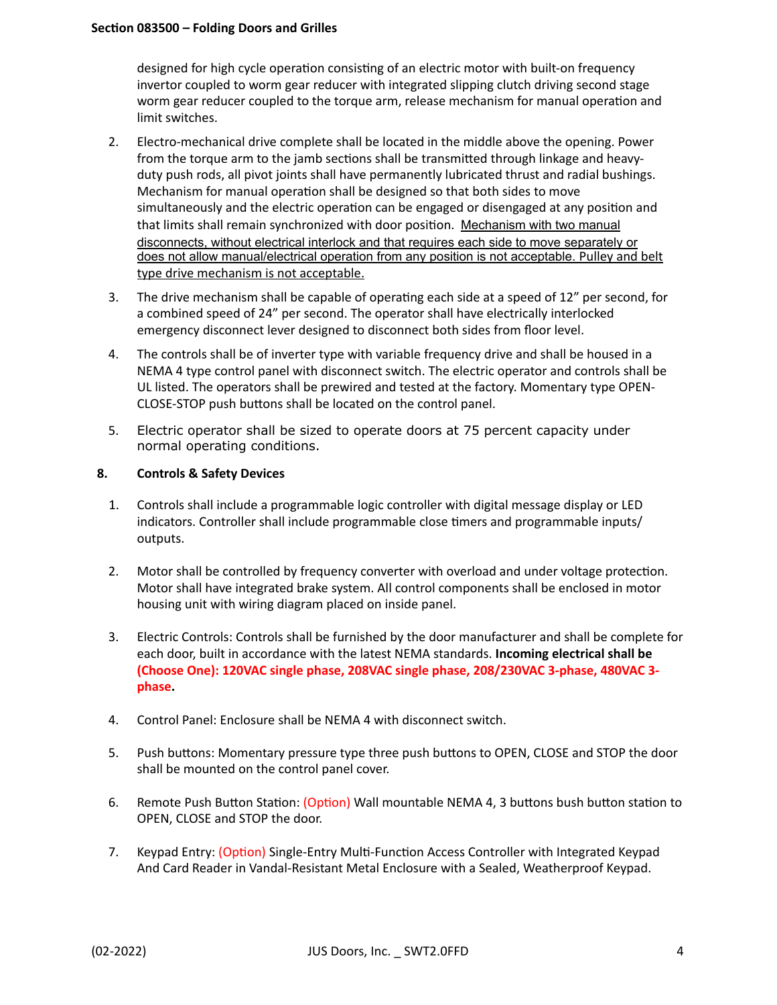designed for high cycle operation consisting of an electric motor with built-on frequency invertor coupled to worm gear reducer with integrated slipping clutch driving second stage worm gear reducer coupled to the torque arm, release mechanism for manual operation and limit switches.

- 2. Electro-mechanical drive complete shall be located in the middle above the opening. Power from the torque arm to the jamb sections shall be transmitted through linkage and heavyduty push rods, all pivot joints shall have permanently lubricated thrust and radial bushings. Mechanism for manual operation shall be designed so that both sides to move simultaneously and the electric operation can be engaged or disengaged at any position and that limits shall remain synchronized with door position. Mechanism with two manual disconnects, without electrical interlock and that requires each side to move separately or does not allow manual/electrical operation from any position is not acceptable. Pulley and belt type drive mechanism is not acceptable.
- 3. The drive mechanism shall be capable of operating each side at a speed of 12" per second, for a combined speed of 24" per second. The operator shall have electrically interlocked emergency disconnect lever designed to disconnect both sides from floor level.
- 4. The controls shall be of inverter type with variable frequency drive and shall be housed in a NEMA 4 type control panel with disconnect switch. The electric operator and controls shall be UL listed. The operators shall be prewired and tested at the factory. Momentary type OPEN-CLOSE-STOP push buttons shall be located on the control panel.
- 5. Electric operator shall be sized to operate doors at 75 percent capacity under normal operating conditions.

## **8. Controls & Safety Devices**

- 1. Controls shall include a programmable logic controller with digital message display or LED indicators. Controller shall include programmable close timers and programmable inputs/ outputs.
- 2. Motor shall be controlled by frequency converter with overload and under voltage protection. Motor shall have integrated brake system. All control components shall be enclosed in motor housing unit with wiring diagram placed on inside panel.
- 3. Electric Controls: Controls shall be furnished by the door manufacturer and shall be complete for each door, built in accordance with the latest NEMA standards. **Incoming electrical shall be (Choose One): 120VAC single phase, 208VAC single phase, 208/230VAC 3-phase, 480VAC 3 phase.**
- 4. Control Panel: Enclosure shall be NEMA 4 with disconnect switch.
- 5. Push buttons: Momentary pressure type three push buttons to OPEN, CLOSE and STOP the door shall be mounted on the control panel cover.
- 6. Remote Push Button Station: (Option) Wall mountable NEMA 4, 3 buttons bush button station to OPEN, CLOSE and STOP the door.
- 7. Keypad Entry: (Option) Single-Entry Multi-Function Access Controller with Integrated Keypad And Card Reader in Vandal-Resistant Metal Enclosure with a Sealed, Weatherproof Keypad.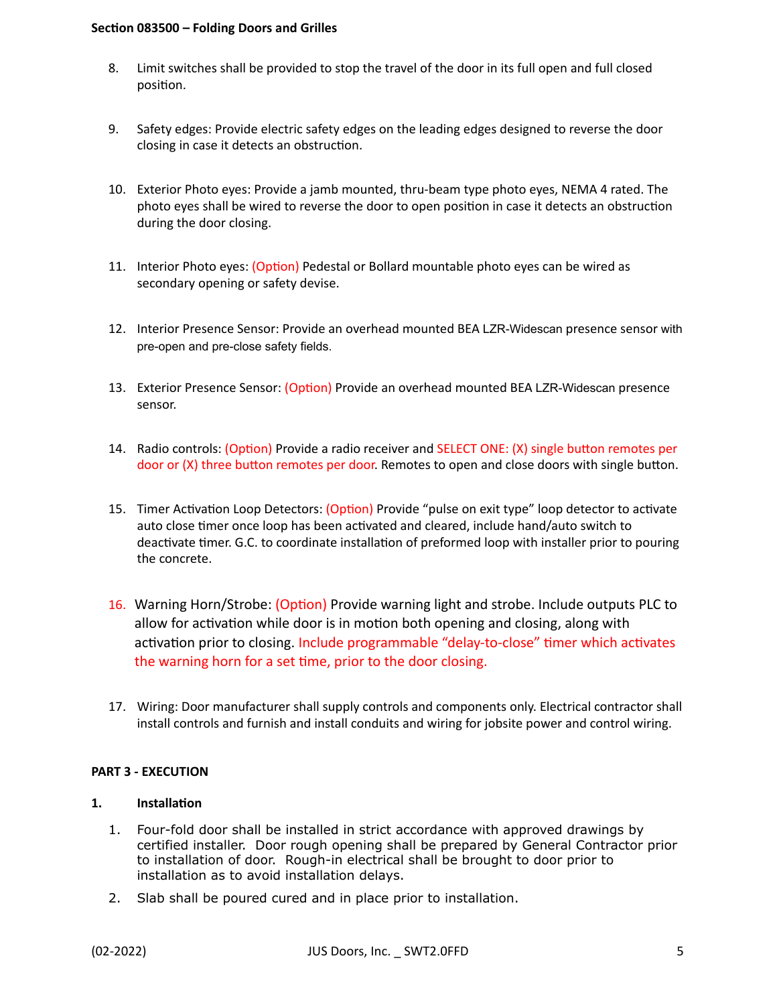### **Section 083500 – Folding Doors and Grilles**

- 8. Limit switches shall be provided to stop the travel of the door in its full open and full closed position.
- 9. Safety edges: Provide electric safety edges on the leading edges designed to reverse the door closing in case it detects an obstruction.
- 10. Exterior Photo eyes: Provide a jamb mounted, thru-beam type photo eyes, NEMA 4 rated. The photo eyes shall be wired to reverse the door to open position in case it detects an obstruction during the door closing.
- 11. Interior Photo eyes: (Option) Pedestal or Bollard mountable photo eyes can be wired as secondary opening or safety devise.
- 12. Interior Presence Sensor: Provide an overhead mounted BEA LZR-Widescan presence sensor with pre-open and pre-close safety fields.
- 13. Exterior Presence Sensor: (Option) Provide an overhead mounted BEA LZR-Widescan presence sensor.
- 14. Radio controls: (Option) Provide a radio receiver and SELECT ONE: (X) single button remotes per door or (X) three button remotes per door. Remotes to open and close doors with single button.
- 15. Timer Activation Loop Detectors: (Option) Provide "pulse on exit type" loop detector to activate auto close timer once loop has been activated and cleared, include hand/auto switch to deactivate timer. G.C. to coordinate installation of preformed loop with installer prior to pouring the concrete.
- 16. Warning Horn/Strobe: (Option) Provide warning light and strobe. Include outputs PLC to allow for activation while door is in motion both opening and closing, along with activation prior to closing. Include programmable "delay-to-close" timer which activates the warning horn for a set time, prior to the door closing.
- 17. Wiring: Door manufacturer shall supply controls and components only. Electrical contractor shall install controls and furnish and install conduits and wiring for jobsite power and control wiring.

### **PART 3 - EXECUTION**

# **1. Installation**

- 1. Four-fold door shall be installed in strict accordance with approved drawings by certified installer. Door rough opening shall be prepared by General Contractor prior to installation of door. Rough-in electrical shall be brought to door prior to installation as to avoid installation delays.
- 2. Slab shall be poured cured and in place prior to installation.